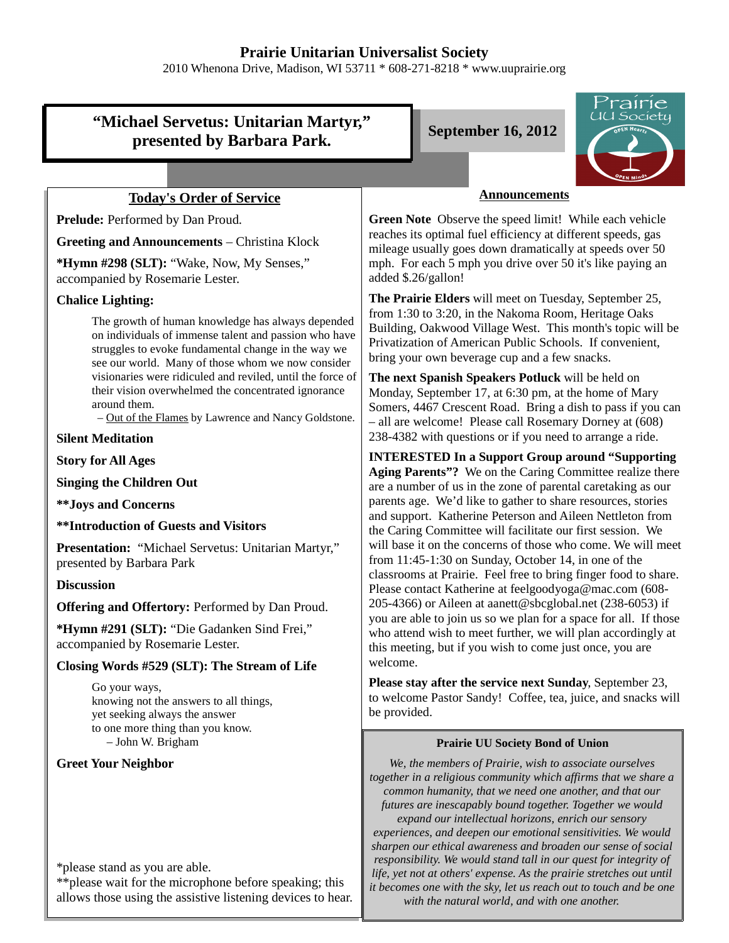# **Prairie Unitarian Universalist Society**

2010 Whenona Drive, Madison, WI 53711 \* 608-271-8218 \* www.uuprairie.org

# **"Michael Servetus: Unitarian Martyr," presented by Barbara Park.** September 16, 2012



## **Today's Order of Service**

Prelude: Performed by Dan Proud.

**Greeting and Announcements** – Christina Klock

**\*Hymn #298 (SLT):** "Wake, Now, My Senses," accompanied by Rosemarie Lester.

#### **Chalice Lighting:**

The growth of human knowledge has always depended on individuals of immense talent and passion who have struggles to evoke fundamental change in the way we see our world. Many of those whom we now consider visionaries were ridiculed and reviled, until the force of their vision overwhelmed the concentrated ignorance around them.

– Out of the Flames by Lawrence and Nancy Goldstone.

**Silent Meditation**

**Story for All Ages**

**Singing the Children Out**

**\*\*Joys and Concerns**

**\*\*Introduction of Guests and Visitors**

**Presentation:** "Michael Servetus: Unitarian Martyr," presented by Barbara Park

### **Discussion**

**Offering and Offertory:** Performed by Dan Proud.

**\*Hymn #291 (SLT):** "Die Gadanken Sind Frei," accompanied by Rosemarie Lester.

### **Closing Words #529 (SLT): The Stream of Life**

Go your ways, knowing not the answers to all things, yet seeking always the answer to one more thing than you know. – John W. Brigham

## **Greet Your Neighbor**

\*please stand as you are able.

\*\*please wait for the microphone before speaking; this allows those using the assistive listening devices to hear.

#### **Announcements**

**Green Note** Observe the speed limit! While each vehicle reaches its optimal fuel efficiency at different speeds, gas mileage usually goes down dramatically at speeds over 50 mph. For each 5 mph you drive over 50 it's like paying an added \$.26/gallon!

**The Prairie Elders** will meet on Tuesday, September 25, from 1:30 to 3:20, in the Nakoma Room, Heritage Oaks Building, Oakwood Village West. This month's topic will be Privatization of American Public Schools. If convenient, bring your own beverage cup and a few snacks.

**The next Spanish Speakers Potluck** will be held on Monday, September 17, at 6:30 pm, at the home of Mary Somers, 4467 Crescent Road. Bring a dish to pass if you can – all are welcome! Please call Rosemary Dorney at (608) 238-4382 with questions or if you need to arrange a ride.

**INTERESTED In a Support Group around "Supporting Aging Parents"?** We on the Caring Committee realize there are a number of us in the zone of parental caretaking as our parents age. We'd like to gather to share resources, stories and support. Katherine Peterson and Aileen Nettleton from the Caring Committee will facilitate our first session. We will base it on the concerns of those who come. We will meet from 11:45-1:30 on Sunday, October 14, in one of the classrooms at Prairie. Feel free to bring finger food to share. Please contact Katherine at feelgoodyoga@mac.com (608- 205-4366) or Aileen at aanett@sbcglobal.net (238-6053) if you are able to join us so we plan for a space for all. If those who attend wish to meet further, we will plan accordingly at this meeting, but if you wish to come just once, you are welcome.

**Please stay after the service next Sunday**, September 23, to welcome Pastor Sandy! Coffee, tea, juice, and snacks will be provided.

#### **Prairie UU Society Bond of Union**

*We, the members of Prairie, wish to associate ourselves together in a religious community which affirms that we share a common humanity, that we need one another, and that our futures are inescapably bound together. Together we would expand our intellectual horizons, enrich our sensory experiences, and deepen our emotional sensitivities. We would sharpen our ethical awareness and broaden our sense of social responsibility. We would stand tall in our quest for integrity of life, yet not at others' expense. As the prairie stretches out until it becomes one with the sky, let us reach out to touch and be one with the natural world, and with one another.*